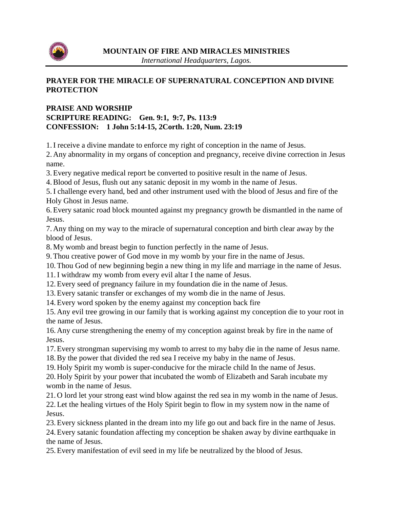

## **PRAYER FOR THE MIRACLE OF SUPERNATURAL CONCEPTION AND DIVINE PROTECTION**

## **PRAISE AND WORSHIP SCRIPTURE READING: Gen. 9:1, 9:7, Ps. 113:9 CONFESSION: 1 John 5:14-15, 2Corth. 1:20, Num. 23:19**

1.I receive a divine mandate to enforce my right of conception in the name of Jesus.

2. Any abnormality in my organs of conception and pregnancy, receive divine correction in Jesus name.

3.Every negative medical report be converted to positive result in the name of Jesus.

4.Blood of Jesus, flush out any satanic deposit in my womb in the name of Jesus.

5.I challenge every hand, bed and other instrument used with the blood of Jesus and fire of the Holy Ghost in Jesus name.

6.Every satanic road block mounted against my pregnancy growth be dismantled in the name of Jesus.

7. Any thing on my way to the miracle of supernatural conception and birth clear away by the blood of Jesus.

8. My womb and breast begin to function perfectly in the name of Jesus.

9.Thou creative power of God move in my womb by your fire in the name of Jesus.

10.Thou God of new beginning begin a new thing in my life and marriage in the name of Jesus.

11.I withdraw my womb from every evil altar I the name of Jesus.

12.Every seed of pregnancy failure in my foundation die in the name of Jesus.

13.Every satanic transfer or exchanges of my womb die in the name of Jesus.

14.Every word spoken by the enemy against my conception back fire

15. Any evil tree growing in our family that is working against my conception die to your root in the name of Jesus.

16. Any curse strengthening the enemy of my conception against break by fire in the name of Jesus.

17.Every strongman supervising my womb to arrest to my baby die in the name of Jesus name. 18.By the power that divided the red sea I receive my baby in the name of Jesus.

19. Holy Spirit my womb is super-conducive for the miracle child In the name of Jesus. 20. Holy Spirit by your power that incubated the womb of Elizabeth and Sarah incubate my womb in the name of Jesus.

21. O lord let your strong east wind blow against the red sea in my womb in the name of Jesus. 22. Let the healing virtues of the Holy Spirit begin to flow in my system now in the name of Jesus.

23.Every sickness planted in the dream into my life go out and back fire in the name of Jesus. 24.Every satanic foundation affecting my conception be shaken away by divine earthquake in the name of Jesus.

25.Every manifestation of evil seed in my life be neutralized by the blood of Jesus.